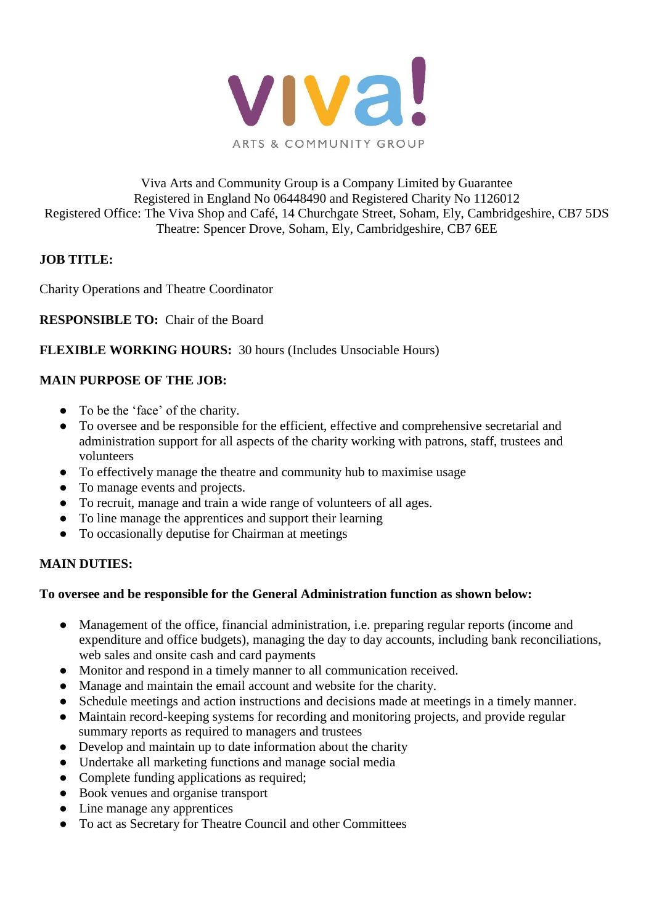

# Viva Arts and Community Group is a Company Limited by Guarantee Registered in England No 06448490 and Registered Charity No 1126012 Registered Office: The Viva Shop and Café, 14 Churchgate Street, Soham, Ely, Cambridgeshire, CB7 5DS Theatre: Spencer Drove, Soham, Ely, Cambridgeshire, CB7 6EE

# **JOB TITLE:**

Charity Operations and Theatre Coordinator

**RESPONSIBLE TO:** Chair of the Board

# **FLEXIBLE WORKING HOURS:** 30 hours (Includes Unsociable Hours)

# **MAIN PURPOSE OF THE JOB:**

- To be the 'face' of the charity.
- To oversee and be responsible for the efficient, effective and comprehensive secretarial and administration support for all aspects of the charity working with patrons, staff, trustees and volunteers
- To effectively manage the theatre and community hub to maximise usage
- To manage events and projects.
- To recruit, manage and train a wide range of volunteers of all ages.
- To line manage the apprentices and support their learning
- To occasionally deputise for Chairman at meetings

#### **MAIN DUTIES:**

#### **To oversee and be responsible for the General Administration function as shown below:**

- Management of the office, financial administration, i.e. preparing regular reports (income and expenditure and office budgets), managing the day to day accounts, including bank reconciliations, web sales and onsite cash and card payments
- Monitor and respond in a timely manner to all communication received.
- Manage and maintain the email account and website for the charity.
- Schedule meetings and action instructions and decisions made at meetings in a timely manner.
- Maintain record-keeping systems for recording and monitoring projects, and provide regular summary reports as required to managers and trustees
- Develop and maintain up to date information about the charity
- Undertake all marketing functions and manage social media
- Complete funding applications as required;
- Book venues and organise transport
- Line manage any apprentices
- To act as Secretary for Theatre Council and other Committees